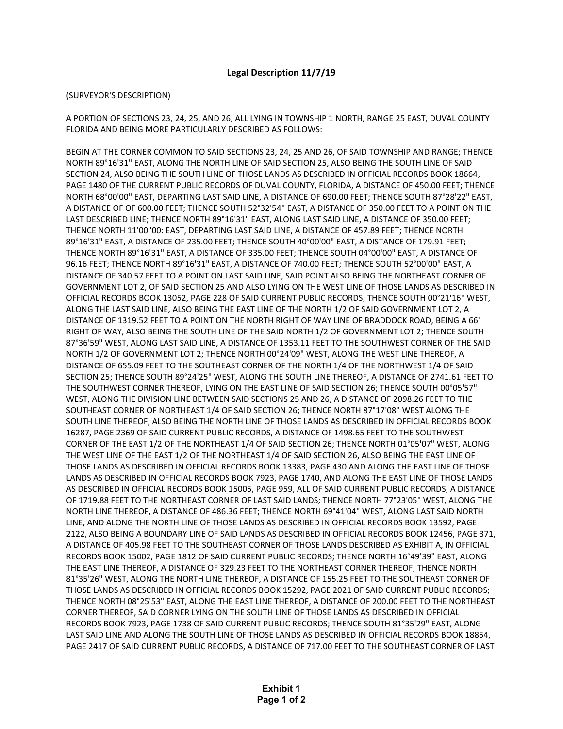## **Legal Description 11/7/19**

## (SURVEYOR'S DESCRIPTION)

A PORTION OF SECTIONS 23, 24, 25, AND 26, ALL LYING IN TOWNSHIP 1 NORTH, RANGE 25 EAST, DUVAL COUNTY FLORIDA AND BEING MORE PARTICULARLY DESCRIBED AS FOLLOWS:

BEGIN AT THE CORNER COMMON TO SAID SECTIONS 23, 24, 25 AND 26, OF SAID TOWNSHIP AND RANGE; THENCE NORTH 89°16'31" EAST, ALONG THE NORTH LINE OF SAID SECTION 25, ALSO BEING THE SOUTH LINE OF SAID SECTION 24, ALSO BEING THE SOUTH LINE OF THOSE LANDS AS DESCRIBED IN OFFICIAL RECORDS BOOK 18664, PAGE 1480 OF THE CURRENT PUBLIC RECORDS OF DUVAL COUNTY, FLORIDA, A DISTANCE OF 450.00 FEET; THENCE NORTH 68°00'00" EAST, DEPARTING LAST SAID LINE, A DISTANCE OF 690.00 FEET; THENCE SOUTH 87°28'22" EAST, A DISTANCE OF OF 600.00 FEET; THENCE SOUTH 52°32'54" EAST, A DISTANCE OF 350.00 FEET TO A POINT ON THE LAST DESCRIBED LINE; THENCE NORTH 89°16'31" EAST, ALONG LAST SAID LINE, A DISTANCE OF 350.00 FEET; THENCE NORTH 11'00"00: EAST, DEPARTING LAST SAID LINE, A DISTANCE OF 457.89 FEET; THENCE NORTH 89°16'31" EAST, A DISTANCE OF 235.00 FEET; THENCE SOUTH 40°00'00" EAST, A DISTANCE OF 179.91 FEET; THENCE NORTH 89°16'31" EAST, A DISTANCE OF 335.00 FEET; THENCE SOUTH 04°00'00" EAST, A DISTANCE OF 96.16 FEET; THENCE NORTH 89°16'31" EAST, A DISTANCE OF 740.00 FEET; THENCE SOUTH 52°00'00" EAST, A DISTANCE OF 340.57 FEET TO A POINT ON LAST SAID LINE, SAID POINT ALSO BEING THE NORTHEAST CORNER OF GOVERNMENT LOT 2, OF SAID SECTION 25 AND ALSO LYING ON THE WEST LINE OF THOSE LANDS AS DESCRIBED IN OFFICIAL RECORDS BOOK 13052, PAGE 228 OF SAID CURRENT PUBLIC RECORDS; THENCE SOUTH 00°21'16" WEST, ALONG THE LAST SAID LINE, ALSO BEING THE EAST LINE OF THE NORTH 1/2 OF SAID GOVERNMENT LOT 2, A DISTANCE OF 1319.52 FEET TO A POINT ON THE NORTH RIGHT OF WAY LINE OF BRADDOCK ROAD, BEING A 66' RIGHT OF WAY, ALSO BEING THE SOUTH LINE OF THE SAID NORTH 1/2 OF GOVERNMENT LOT 2; THENCE SOUTH 87°36'59" WEST, ALONG LAST SAID LINE, A DISTANCE OF 1353.11 FEET TO THE SOUTHWEST CORNER OF THE SAID NORTH 1/2 OF GOVERNMENT LOT 2; THENCE NORTH 00°24'09" WEST, ALONG THE WEST LINE THEREOF, A DISTANCE OF 655.09 FEET TO THE SOUTHEAST CORNER OF THE NORTH 1/4 OF THE NORTHWEST 1/4 OF SAID SECTION 25; THENCE SOUTH 89°24'25" WEST, ALONG THE SOUTH LINE THEREOF, A DISTANCE OF 2741.61 FEET TO THE SOUTHWEST CORNER THEREOF, LYING ON THE EAST LINE OF SAID SECTION 26; THENCE SOUTH 00°05'57" WEST, ALONG THE DIVISION LINE BETWEEN SAID SECTIONS 25 AND 26, A DISTANCE OF 2098.26 FEET TO THE SOUTHEAST CORNER OF NORTHEAST 1/4 OF SAID SECTION 26; THENCE NORTH 87°17'08" WEST ALONG THE SOUTH LINE THEREOF, ALSO BEING THE NORTH LINE OF THOSE LANDS AS DESCRIBED IN OFFICIAL RECORDS BOOK 16287, PAGE 2369 OF SAID CURRENT PUBLIC RECORDS, A DISTANCE OF 1498.65 FEET TO THE SOUTHWEST CORNER OF THE EAST 1/2 OF THE NORTHEAST 1/4 OF SAID SECTION 26; THENCE NORTH 01°05'07" WEST, ALONG THE WEST LINE OF THE EAST 1/2 OF THE NORTHEAST 1/4 OF SAID SECTION 26, ALSO BEING THE EAST LINE OF THOSE LANDS AS DESCRIBED IN OFFICIAL RECORDS BOOK 13383, PAGE 430 AND ALONG THE EAST LINE OF THOSE LANDS AS DESCRIBED IN OFFICIAL RECORDS BOOK 7923, PAGE 1740, AND ALONG THE EAST LINE OF THOSE LANDS AS DESCRIBED IN OFFICIAL RECORDS BOOK 15005, PAGE 959, ALL OF SAID CURRENT PUBLIC RECORDS, A DISTANCE OF 1719.88 FEET TO THE NORTHEAST CORNER OF LAST SAID LANDS; THENCE NORTH 77°23'05" WEST, ALONG THE NORTH LINE THEREOF, A DISTANCE OF 486.36 FEET; THENCE NORTH 69°41'04" WEST, ALONG LAST SAID NORTH LINE, AND ALONG THE NORTH LINE OF THOSE LANDS AS DESCRIBED IN OFFICIAL RECORDS BOOK 13592, PAGE 2122, ALSO BEING A BOUNDARY LINE OF SAID LANDS AS DESCRIBED IN OFFICIAL RECORDS BOOK 12456, PAGE 371, A DISTANCE OF 405.98 FEET TO THE SOUTHEAST CORNER OF THOSE LANDS DESCRIBED AS EXHIBIT A, IN OFFICIAL RECORDS BOOK 15002, PAGE 1812 OF SAID CURRENT PUBLIC RECORDS; THENCE NORTH 16°49'39" EAST, ALONG THE EAST LINE THEREOF, A DISTANCE OF 329.23 FEET TO THE NORTHEAST CORNER THEREOF; THENCE NORTH 81°35'26" WEST, ALONG THE NORTH LINE THEREOF, A DISTANCE OF 155.25 FEET TO THE SOUTHEAST CORNER OF THOSE LANDS AS DESCRIBED IN OFFICIAL RECORDS BOOK 15292, PAGE 2021 OF SAID CURRENT PUBLIC RECORDS; THENCE NORTH 08°25'53" EAST, ALONG THE EAST LINE THEREOF, A DISTANCE OF 200.00 FEET TO THE NORTHEAST CORNER THEREOF, SAID CORNER LYING ON THE SOUTH LINE OF THOSE LANDS AS DESCRIBED IN OFFICIAL RECORDS BOOK 7923, PAGE 1738 OF SAID CURRENT PUBLIC RECORDS; THENCE SOUTH 81°35'29" EAST, ALONG LAST SAID LINE AND ALONG THE SOUTH LINE OF THOSE LANDS AS DESCRIBED IN OFFICIAL RECORDS BOOK 18854, PAGE 2417 OF SAID CURRENT PUBLIC RECORDS, A DISTANCE OF 717.00 FEET TO THE SOUTHEAST CORNER OF LAST